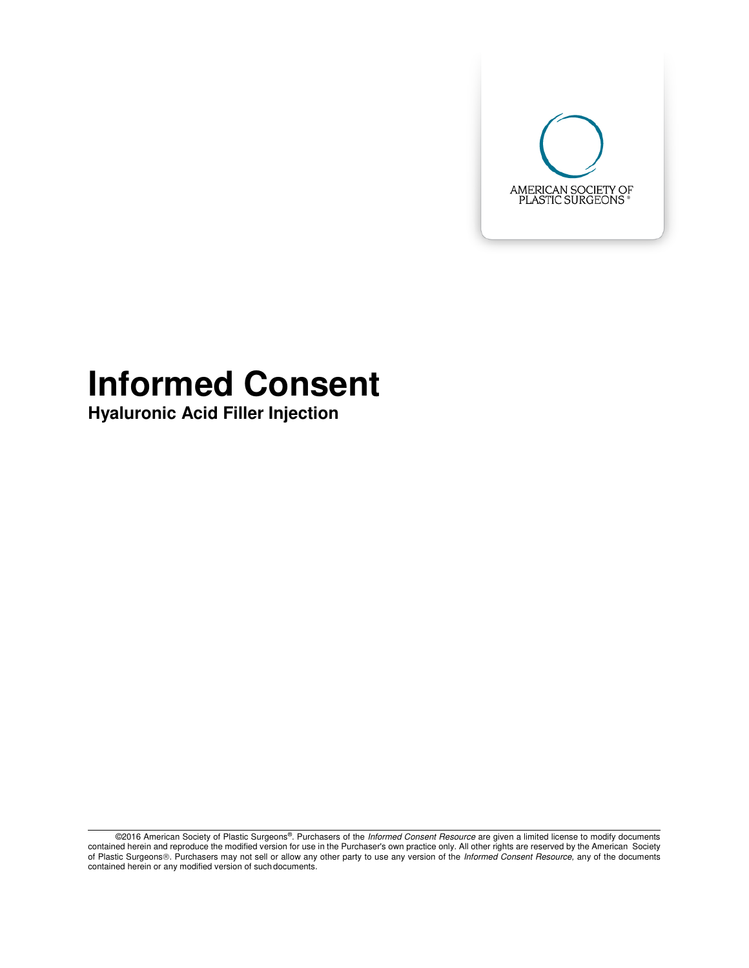

# **Informed Consent**

**Hyaluronic Acid Filler Injection** 

©2016 American Society of Plastic Surgeons®. Purchasers of the *Informed Consent Resource* are given a limited license to modify documents contained herein and reproduce the modified version for use in the Purchaser's own practice only. All other rights are reserved by the American Society of Plastic Surgeons®. Purchasers may not sell or allow any other party to use any version of the *Informed Consent Resource*, any of the documents contained herein or any modified version of such documents.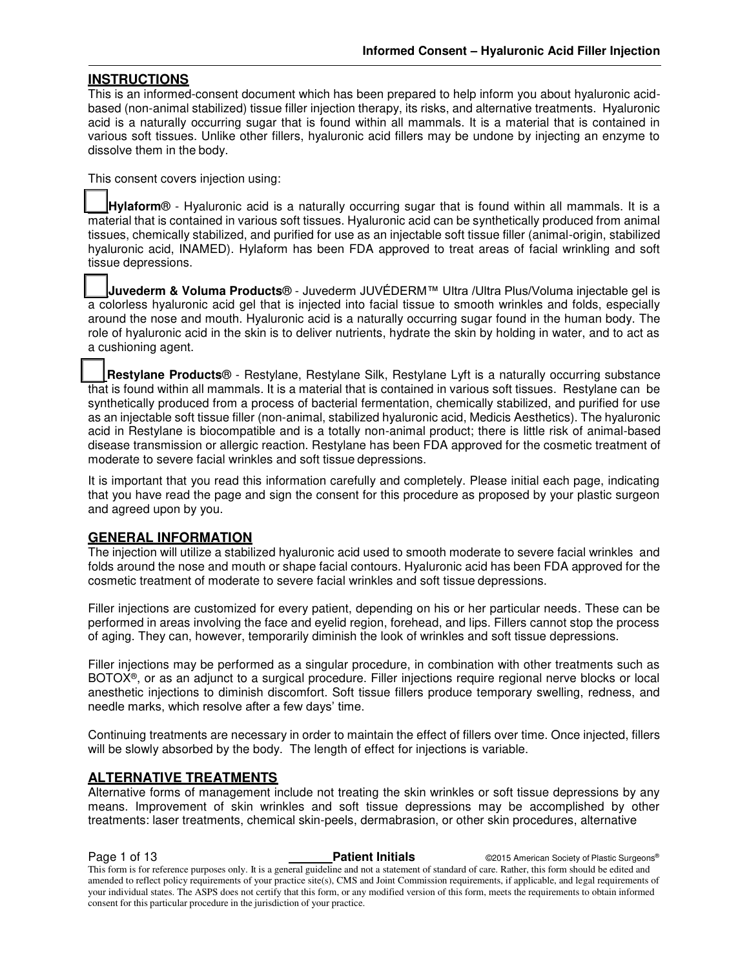#### **INSTRUCTIONS**

This is an informed-consent document which has been prepared to help inform you about hyaluronic acidbased (non-animal stabilized) tissue filler injection therapy, its risks, and alternative treatments. Hyaluronic acid is a naturally occurring sugar that is found within all mammals. It is a material that is contained in various soft tissues. Unlike other fillers, hyaluronic acid fillers may be undone by injecting an enzyme to dissolve them in the body.

This consent covers injection using:

 **Hylaform**® - Hyaluronic acid is a naturally occurring sugar that is found within all mammals. It is a material that is contained in various soft tissues. Hyaluronic acid can be synthetically produced from animal tissues, chemically stabilized, and purified for use as an injectable soft tissue filler (animal-origin, stabilized hyaluronic acid, INAMED). Hylaform has been FDA approved to treat areas of facial wrinkling and soft tissue depressions.

 **Juvederm & Voluma Products**® - Juvederm JUVÉDERM™ Ultra /Ultra Plus/Voluma injectable gel is a colorless hyaluronic acid gel that is injected into facial tissue to smooth wrinkles and folds, especially around the nose and mouth. Hyaluronic acid is a naturally occurring sugar found in the human body. The role of hyaluronic acid in the skin is to deliver nutrients, hydrate the skin by holding in water, and to act as a cushioning agent.

 **Restylane Products**® - Restylane, Restylane Silk, Restylane Lyft is a naturally occurring substance that is found within all mammals. It is a material that is contained in various soft tissues. Restylane can be synthetically produced from a process of bacterial fermentation, chemically stabilized, and purified for use as an injectable soft tissue filler (non-animal, stabilized hyaluronic acid, Medicis Aesthetics). The hyaluronic acid in Restylane is biocompatible and is a totally non-animal product; there is little risk of animal-based disease transmission or allergic reaction. Restylane has been FDA approved for the cosmetic treatment of moderate to severe facial wrinkles and soft tissue depressions.

It is important that you read this information carefully and completely. Please initial each page, indicating that you have read the page and sign the consent for this procedure as proposed by your plastic surgeon and agreed upon by you.

#### **GENERAL INFORMATION**

The injection will utilize a stabilized hyaluronic acid used to smooth moderate to severe facial wrinkles and folds around the nose and mouth or shape facial contours. Hyaluronic acid has been FDA approved for the cosmetic treatment of moderate to severe facial wrinkles and soft tissue depressions.

Filler injections are customized for every patient, depending on his or her particular needs. These can be performed in areas involving the face and eyelid region, forehead, and lips. Fillers cannot stop the process of aging. They can, however, temporarily diminish the look of wrinkles and soft tissue depressions.

Filler injections may be performed as a singular procedure, in combination with other treatments such as BOTOX®, or as an adjunct to a surgical procedure. Filler injections require regional nerve blocks or local anesthetic injections to diminish discomfort. Soft tissue fillers produce temporary swelling, redness, and needle marks, which resolve after a few days' time.

Continuing treatments are necessary in order to maintain the effect of fillers over time. Once injected, fillers will be slowly absorbed by the body. The length of effect for injections is variable.

#### **ALTERNATIVE TREATMENTS**

Alternative forms of management include not treating the skin wrinkles or soft tissue depressions by any means. Improvement of skin wrinkles and soft tissue depressions may be accomplished by other treatments: laser treatments, chemical skin-peels, dermabrasion, or other skin procedures, alternative

**Page 1 of 13 Patient Initials CONFIDENT CONTEX CONTEX CONTEX AMERICAL CONTEX CONTEX CONTEX CONTEX CONTEX CONTEX CONTEX CONTEX CONTEX CONTEX CONTEX CONTEX CONTEX CONTEX CONTEX CONTEX CONTEX CONTEX CONTEX CONTEX CONTEX**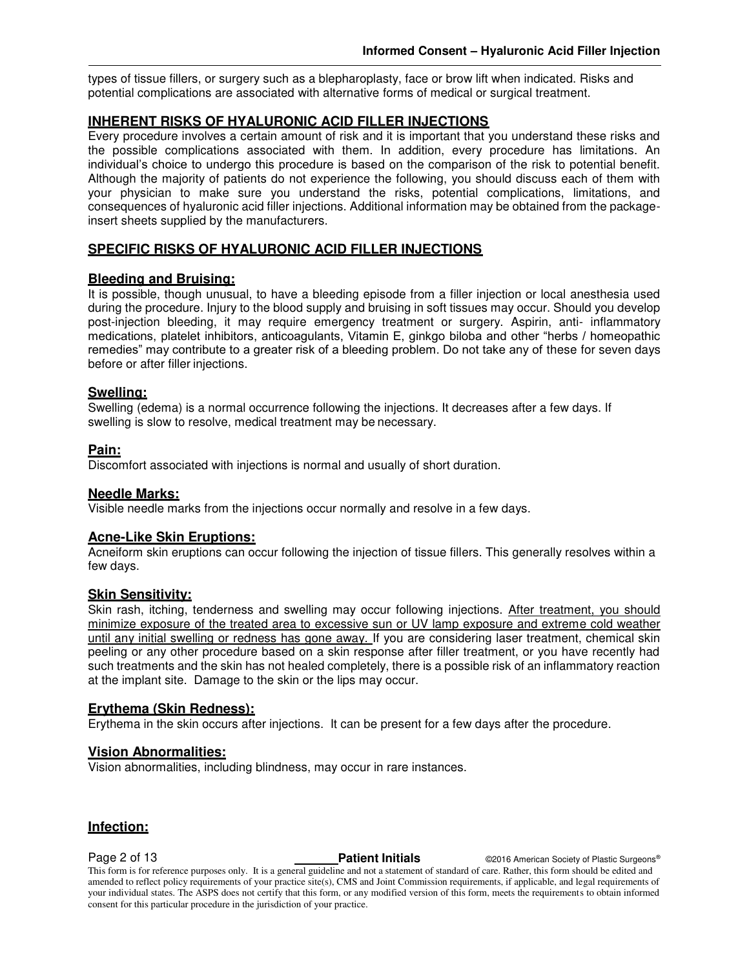types of tissue fillers, or surgery such as a blepharoplasty, face or brow lift when indicated. Risks and potential complications are associated with alternative forms of medical or surgical treatment.

### **INHERENT RISKS OF HYALURONIC ACID FILLER INJECTIONS**

Every procedure involves a certain amount of risk and it is important that you understand these risks and the possible complications associated with them. In addition, every procedure has limitations. An individual's choice to undergo this procedure is based on the comparison of the risk to potential benefit. Although the majority of patients do not experience the following, you should discuss each of them with your physician to make sure you understand the risks, potential complications, limitations, and consequences of hyaluronic acid filler injections. Additional information may be obtained from the packageinsert sheets supplied by the manufacturers.

#### **SPECIFIC RISKS OF HYALURONIC ACID FILLER INJECTIONS**

#### **Bleeding and Bruising:**

It is possible, though unusual, to have a bleeding episode from a filler injection or local anesthesia used during the procedure. Injury to the blood supply and bruising in soft tissues may occur. Should you develop post-injection bleeding, it may require emergency treatment or surgery. Aspirin, anti- inflammatory medications, platelet inhibitors, anticoagulants, Vitamin E, ginkgo biloba and other "herbs / homeopathic remedies" may contribute to a greater risk of a bleeding problem. Do not take any of these for seven days before or after filler injections.

#### **Swelling:**

Swelling (edema) is a normal occurrence following the injections. It decreases after a few days. If swelling is slow to resolve, medical treatment may be necessary.

#### **Pain:**

Discomfort associated with injections is normal and usually of short duration.

#### **Needle Marks:**

Visible needle marks from the injections occur normally and resolve in a few days.

#### **Acne-Like Skin Eruptions:**

Acneiform skin eruptions can occur following the injection of tissue fillers. This generally resolves within a few days.

#### **Skin Sensitivity:**

Skin rash, itching, tenderness and swelling may occur following injections. After treatment, you should minimize exposure of the treated area to excessive sun or UV lamp exposure and extreme cold weather until any initial swelling or redness has gone away. If you are considering laser treatment, chemical skin peeling or any other procedure based on a skin response after filler treatment, or you have recently had such treatments and the skin has not healed completely, there is a possible risk of an inflammatory reaction at the implant site. Damage to the skin or the lips may occur.

#### **Erythema (Skin Redness):**

Erythema in the skin occurs after injections. It can be present for a few days after the procedure.

### **Vision Abnormalities:**

Vision abnormalities, including blindness, may occur in rare instances.

### **Infection:**

**Page 2 of 13 Patient Initials Patient Initials CALC AMERICA CONSTRANS CALC AMERICA CONSTRANS Pastic Surgeons®**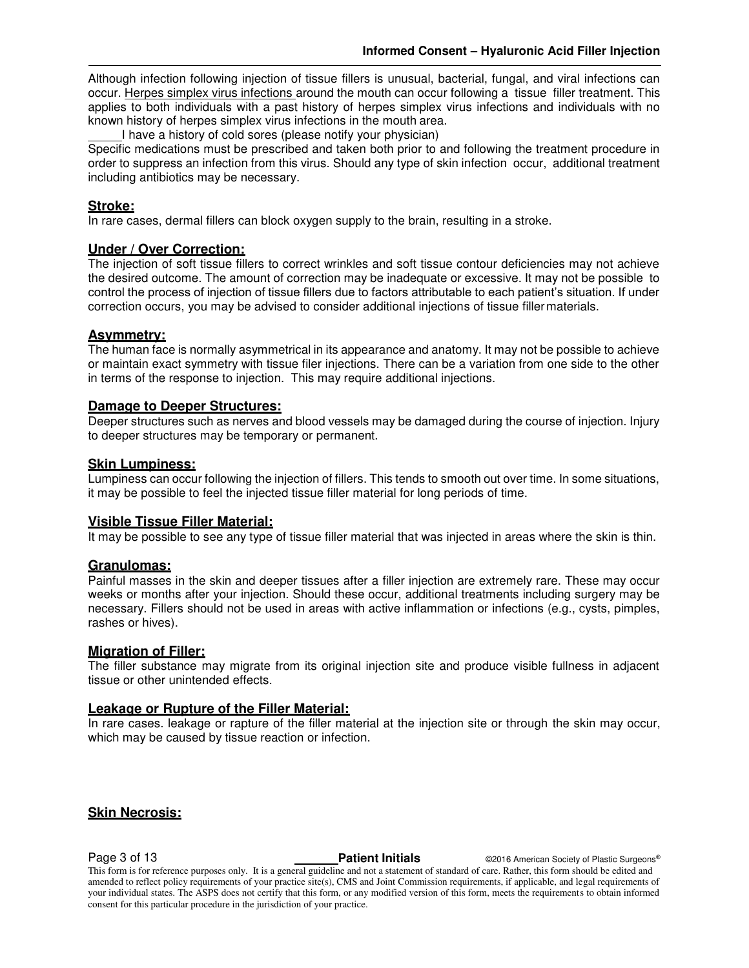Although infection following injection of tissue fillers is unusual, bacterial, fungal, and viral infections can occur. Herpes simplex virus infections around the mouth can occur following a tissue filler treatment. This applies to both individuals with a past history of herpes simplex virus infections and individuals with no known history of herpes simplex virus infections in the mouth area.

I have a history of cold sores (please notify your physician)

Specific medications must be prescribed and taken both prior to and following the treatment procedure in order to suppress an infection from this virus. Should any type of skin infection occur, additional treatment including antibiotics may be necessary.

#### **Stroke:**

In rare cases, dermal fillers can block oxygen supply to the brain, resulting in a stroke.

### **Under / Over Correction:**

The injection of soft tissue fillers to correct wrinkles and soft tissue contour deficiencies may not achieve the desired outcome. The amount of correction may be inadequate or excessive. It may not be possible to control the process of injection of tissue fillers due to factors attributable to each patient's situation. If under correction occurs, you may be advised to consider additional injections of tissue filler materials.

#### **Asymmetry:**

The human face is normally asymmetrical in its appearance and anatomy. It may not be possible to achieve or maintain exact symmetry with tissue filer injections. There can be a variation from one side to the other in terms of the response to injection. This may require additional injections.

#### **Damage to Deeper Structures:**

Deeper structures such as nerves and blood vessels may be damaged during the course of injection. Injury to deeper structures may be temporary or permanent.

#### **Skin Lumpiness:**

Lumpiness can occur following the injection of fillers. This tends to smooth out over time. In some situations, it may be possible to feel the injected tissue filler material for long periods of time.

#### **Visible Tissue Filler Material:**

It may be possible to see any type of tissue filler material that was injected in areas where the skin is thin.

#### **Granulomas:**

Painful masses in the skin and deeper tissues after a filler injection are extremely rare. These may occur weeks or months after your injection. Should these occur, additional treatments including surgery may be necessary. Fillers should not be used in areas with active inflammation or infections (e.g., cysts, pimples, rashes or hives).

#### **Migration of Filler:**

The filler substance may migrate from its original injection site and produce visible fullness in adjacent tissue or other unintended effects.

#### **Leakage or Rupture of the Filler Material:**

In rare cases. leakage or rapture of the filler material at the injection site or through the skin may occur, which may be caused by tissue reaction or infection.

#### **Skin Necrosis:**

**Page 3 of 13 Patient Initials Patient Initials CALC CONFIDENT CONFIDENT CONFIDENT Passic Surgeons®**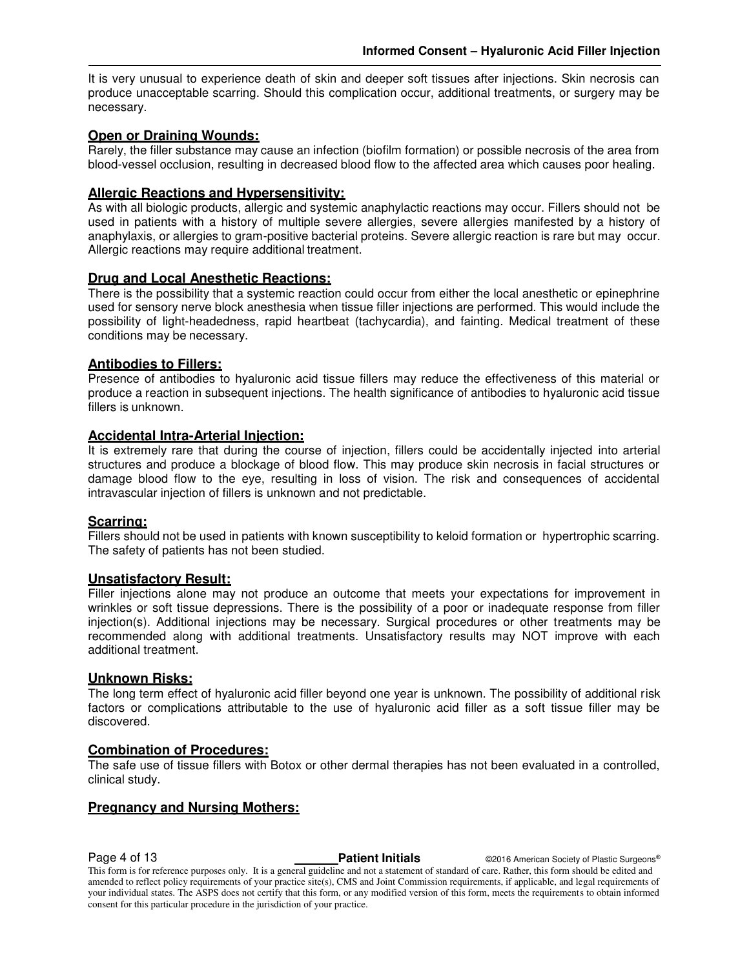It is very unusual to experience death of skin and deeper soft tissues after injections. Skin necrosis can produce unacceptable scarring. Should this complication occur, additional treatments, or surgery may be necessary.

#### **Open or Draining Wounds:**

Rarely, the filler substance may cause an infection (biofilm formation) or possible necrosis of the area from blood-vessel occlusion, resulting in decreased blood flow to the affected area which causes poor healing.

#### **Allergic Reactions and Hypersensitivity:**

As with all biologic products, allergic and systemic anaphylactic reactions may occur. Fillers should not be used in patients with a history of multiple severe allergies, severe allergies manifested by a history of anaphylaxis, or allergies to gram-positive bacterial proteins. Severe allergic reaction is rare but may occur. Allergic reactions may require additional treatment.

#### **Drug and Local Anesthetic Reactions:**

There is the possibility that a systemic reaction could occur from either the local anesthetic or epinephrine used for sensory nerve block anesthesia when tissue filler injections are performed. This would include the possibility of light-headedness, rapid heartbeat (tachycardia), and fainting. Medical treatment of these conditions may be necessary.

#### **Antibodies to Fillers:**

Presence of antibodies to hyaluronic acid tissue fillers may reduce the effectiveness of this material or produce a reaction in subsequent injections. The health significance of antibodies to hyaluronic acid tissue fillers is unknown.

#### **Accidental Intra-Arterial Injection:**

It is extremely rare that during the course of injection, fillers could be accidentally injected into arterial structures and produce a blockage of blood flow. This may produce skin necrosis in facial structures or damage blood flow to the eye, resulting in loss of vision. The risk and consequences of accidental intravascular injection of fillers is unknown and not predictable.

#### **Scarring:**

Fillers should not be used in patients with known susceptibility to keloid formation or hypertrophic scarring. The safety of patients has not been studied.

#### **Unsatisfactory Result:**

Filler injections alone may not produce an outcome that meets your expectations for improvement in wrinkles or soft tissue depressions. There is the possibility of a poor or inadequate response from filler injection(s). Additional injections may be necessary. Surgical procedures or other treatments may be recommended along with additional treatments. Unsatisfactory results may NOT improve with each additional treatment.

#### **Unknown Risks:**

The long term effect of hyaluronic acid filler beyond one year is unknown. The possibility of additional risk factors or complications attributable to the use of hyaluronic acid filler as a soft tissue filler may be discovered.

#### **Combination of Procedures:**

The safe use of tissue fillers with Botox or other dermal therapies has not been evaluated in a controlled, clinical study.

#### **Pregnancy and Nursing Mothers:**

**Page 4 of 13 Patient Initials Patient Initials C2016 American Society of Plastic Surgeons®**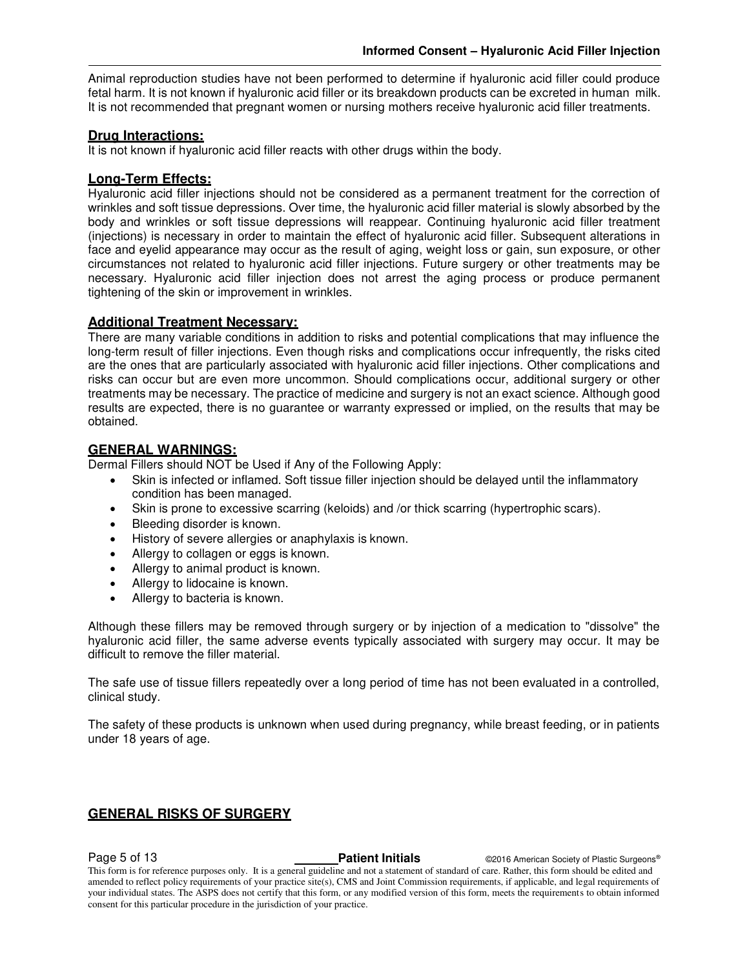Animal reproduction studies have not been performed to determine if hyaluronic acid filler could produce fetal harm. It is not known if hyaluronic acid filler or its breakdown products can be excreted in human milk. It is not recommended that pregnant women or nursing mothers receive hyaluronic acid filler treatments.

#### **Drug Interactions:**

It is not known if hyaluronic acid filler reacts with other drugs within the body.

#### **Long-Term Effects:**

Hyaluronic acid filler injections should not be considered as a permanent treatment for the correction of wrinkles and soft tissue depressions. Over time, the hyaluronic acid filler material is slowly absorbed by the body and wrinkles or soft tissue depressions will reappear. Continuing hyaluronic acid filler treatment (injections) is necessary in order to maintain the effect of hyaluronic acid filler. Subsequent alterations in face and eyelid appearance may occur as the result of aging, weight loss or gain, sun exposure, or other circumstances not related to hyaluronic acid filler injections. Future surgery or other treatments may be necessary. Hyaluronic acid filler injection does not arrest the aging process or produce permanent tightening of the skin or improvement in wrinkles.

#### **Additional Treatment Necessary:**

There are many variable conditions in addition to risks and potential complications that may influence the long-term result of filler injections. Even though risks and complications occur infrequently, the risks cited are the ones that are particularly associated with hyaluronic acid filler injections. Other complications and risks can occur but are even more uncommon. Should complications occur, additional surgery or other treatments may be necessary. The practice of medicine and surgery is not an exact science. Although good results are expected, there is no guarantee or warranty expressed or implied, on the results that may be obtained.

#### **GENERAL WARNINGS:**

Dermal Fillers should NOT be Used if Any of the Following Apply:

- Skin is infected or inflamed. Soft tissue filler injection should be delayed until the inflammatory condition has been managed.
- Skin is prone to excessive scarring (keloids) and /or thick scarring (hypertrophic scars).
- Bleeding disorder is known.
- History of severe allergies or anaphylaxis is known.
- Allergy to collagen or eggs is known.
- Allergy to animal product is known.
- Allergy to lidocaine is known.
- Allergy to bacteria is known.

Although these fillers may be removed through surgery or by injection of a medication to "dissolve" the hyaluronic acid filler, the same adverse events typically associated with surgery may occur. It may be difficult to remove the filler material.

The safe use of tissue fillers repeatedly over a long period of time has not been evaluated in a controlled, clinical study.

The safety of these products is unknown when used during pregnancy, while breast feeding, or in patients under 18 years of age.

### **GENERAL RISKS OF SURGERY**

**Page 5 of 13 Patient Initials CONFIDENT CONSUMINGLY Patient Initials C2016** American Society of Plastic Surgeons®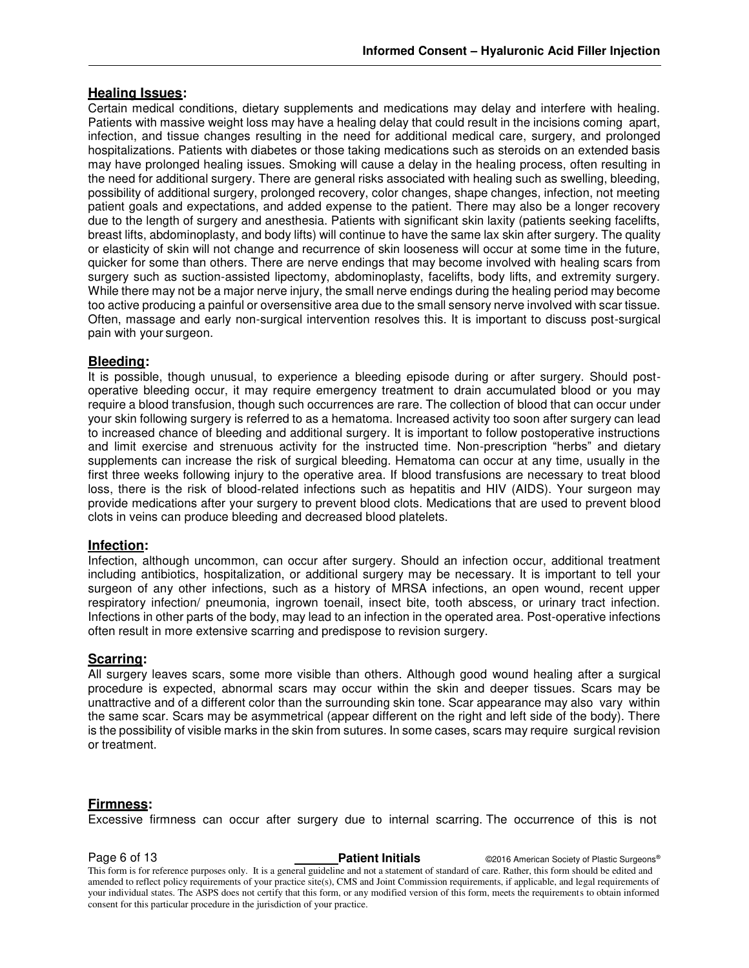#### **Healing Issues:**

Certain medical conditions, dietary supplements and medications may delay and interfere with healing. Patients with massive weight loss may have a healing delay that could result in the incisions coming apart, infection, and tissue changes resulting in the need for additional medical care, surgery, and prolonged hospitalizations. Patients with diabetes or those taking medications such as steroids on an extended basis may have prolonged healing issues. Smoking will cause a delay in the healing process, often resulting in the need for additional surgery. There are general risks associated with healing such as swelling, bleeding, possibility of additional surgery, prolonged recovery, color changes, shape changes, infection, not meeting patient goals and expectations, and added expense to the patient. There may also be a longer recovery due to the length of surgery and anesthesia. Patients with significant skin laxity (patients seeking facelifts, breast lifts, abdominoplasty, and body lifts) will continue to have the same lax skin after surgery. The quality or elasticity of skin will not change and recurrence of skin looseness will occur at some time in the future, quicker for some than others. There are nerve endings that may become involved with healing scars from surgery such as suction-assisted lipectomy, abdominoplasty, facelifts, body lifts, and extremity surgery. While there may not be a major nerve injury, the small nerve endings during the healing period may become too active producing a painful or oversensitive area due to the small sensory nerve involved with scar tissue. Often, massage and early non-surgical intervention resolves this. It is important to discuss post-surgical pain with your surgeon.

#### **Bleeding:**

It is possible, though unusual, to experience a bleeding episode during or after surgery. Should postoperative bleeding occur, it may require emergency treatment to drain accumulated blood or you may require a blood transfusion, though such occurrences are rare. The collection of blood that can occur under your skin following surgery is referred to as a hematoma. Increased activity too soon after surgery can lead to increased chance of bleeding and additional surgery. It is important to follow postoperative instructions and limit exercise and strenuous activity for the instructed time. Non-prescription "herbs" and dietary supplements can increase the risk of surgical bleeding. Hematoma can occur at any time, usually in the first three weeks following injury to the operative area. If blood transfusions are necessary to treat blood loss, there is the risk of blood-related infections such as hepatitis and HIV (AIDS). Your surgeon may provide medications after your surgery to prevent blood clots. Medications that are used to prevent blood clots in veins can produce bleeding and decreased blood platelets.

#### **Infection:**

Infection, although uncommon, can occur after surgery. Should an infection occur, additional treatment including antibiotics, hospitalization, or additional surgery may be necessary. It is important to tell your surgeon of any other infections, such as a history of MRSA infections, an open wound, recent upper respiratory infection/ pneumonia, ingrown toenail, insect bite, tooth abscess, or urinary tract infection. Infections in other parts of the body, may lead to an infection in the operated area. Post-operative infections often result in more extensive scarring and predispose to revision surgery.

#### **Scarring:**

All surgery leaves scars, some more visible than others. Although good wound healing after a surgical procedure is expected, abnormal scars may occur within the skin and deeper tissues. Scars may be unattractive and of a different color than the surrounding skin tone. Scar appearance may also vary within the same scar. Scars may be asymmetrical (appear different on the right and left side of the body). There is the possibility of visible marks in the skin from sutures. In some cases, scars may require surgical revision or treatment.

#### **Firmness:**

Excessive firmness can occur after surgery due to internal scarring. The occurrence of this is not

**Page 6 of 13 Patient Initials Patient Initials CALC AMERICA CONSTRANS CONSTRANS CONSTRANS POINT PRESENT OF PLASTIC SURGEONS®** This form is for reference purposes only. It is a general guideline and not a statement of standard of care. Rather, this form should be edited and amended to reflect policy requirements of your practice site(s), CMS and Joint Commission requirements, if applicable, and legal requirements of your individual states. The ASPS does not certify that this form, or any modified version of this form, meets the requirements to obtain informed consent for this particular procedure in the jurisdiction of your practice.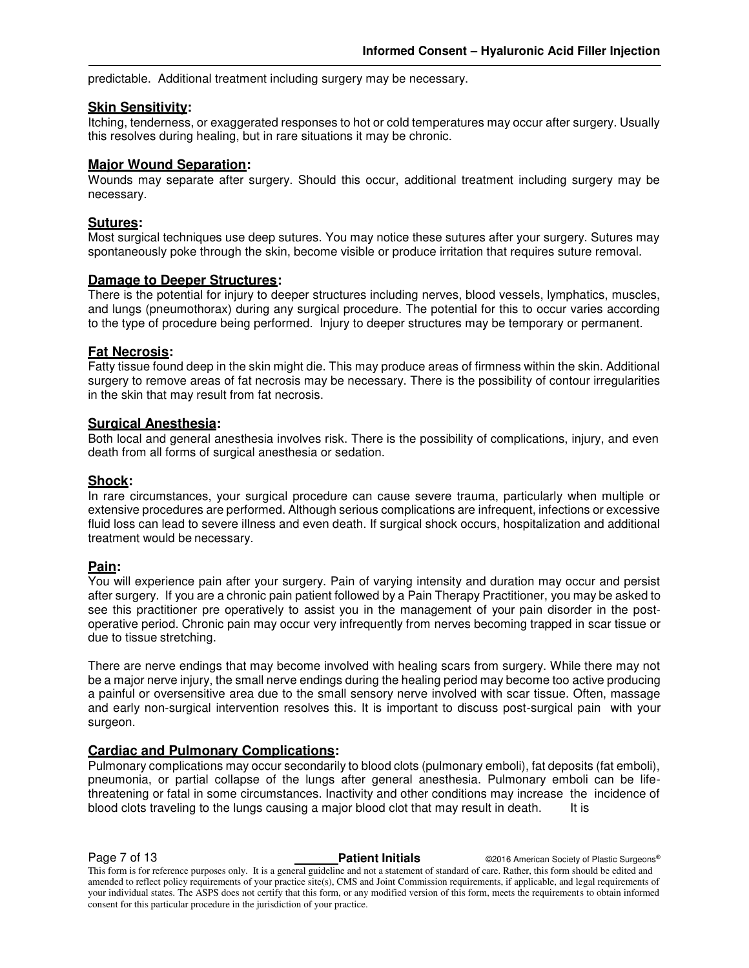predictable. Additional treatment including surgery may be necessary.

#### **Skin Sensitivity:**

Itching, tenderness, or exaggerated responses to hot or cold temperatures may occur after surgery. Usually this resolves during healing, but in rare situations it may be chronic.

#### **Major Wound Separation:**

Wounds may separate after surgery. Should this occur, additional treatment including surgery may be necessary.

### **Sutures:**

Most surgical techniques use deep sutures. You may notice these sutures after your surgery. Sutures may spontaneously poke through the skin, become visible or produce irritation that requires suture removal.

#### **Damage to Deeper Structures:**

There is the potential for injury to deeper structures including nerves, blood vessels, lymphatics, muscles, and lungs (pneumothorax) during any surgical procedure. The potential for this to occur varies according to the type of procedure being performed. Injury to deeper structures may be temporary or permanent.

#### **Fat Necrosis:**

Fatty tissue found deep in the skin might die. This may produce areas of firmness within the skin. Additional surgery to remove areas of fat necrosis may be necessary. There is the possibility of contour irregularities in the skin that may result from fat necrosis.

#### **Surgical Anesthesia:**

Both local and general anesthesia involves risk. There is the possibility of complications, injury, and even death from all forms of surgical anesthesia or sedation.

#### **Shock:**

In rare circumstances, your surgical procedure can cause severe trauma, particularly when multiple or extensive procedures are performed. Although serious complications are infrequent, infections or excessive fluid loss can lead to severe illness and even death. If surgical shock occurs, hospitalization and additional treatment would be necessary.

#### **Pain:**

You will experience pain after your surgery. Pain of varying intensity and duration may occur and persist after surgery. If you are a chronic pain patient followed by a Pain Therapy Practitioner, you may be asked to see this practitioner pre operatively to assist you in the management of your pain disorder in the postoperative period. Chronic pain may occur very infrequently from nerves becoming trapped in scar tissue or due to tissue stretching.

There are nerve endings that may become involved with healing scars from surgery. While there may not be a major nerve injury, the small nerve endings during the healing period may become too active producing a painful or oversensitive area due to the small sensory nerve involved with scar tissue. Often, massage and early non-surgical intervention resolves this. It is important to discuss post-surgical pain with your surgeon.

#### **Cardiac and Pulmonary Complications:**

Pulmonary complications may occur secondarily to blood clots (pulmonary emboli), fat deposits (fat emboli), pneumonia, or partial collapse of the lungs after general anesthesia. Pulmonary emboli can be lifethreatening or fatal in some circumstances. Inactivity and other conditions may increase the incidence of blood clots traveling to the lungs causing a major blood clot that may result in death. It is

**Page 7 of 13 Patient Initials Patient Initials CALC AMERICA CONSTRANS CALC AMERICA CONSTRANS Pastic Surgeons®** 

This form is for reference purposes only. It is a general guideline and not a statement of standard of care. Rather, this form should be edited and amended to reflect policy requirements of your practice site(s), CMS and Joint Commission requirements, if applicable, and legal requirements of your individual states. The ASPS does not certify that this form, or any modified version of this form, meets the requirements to obtain informed consent for this particular procedure in the jurisdiction of your practice.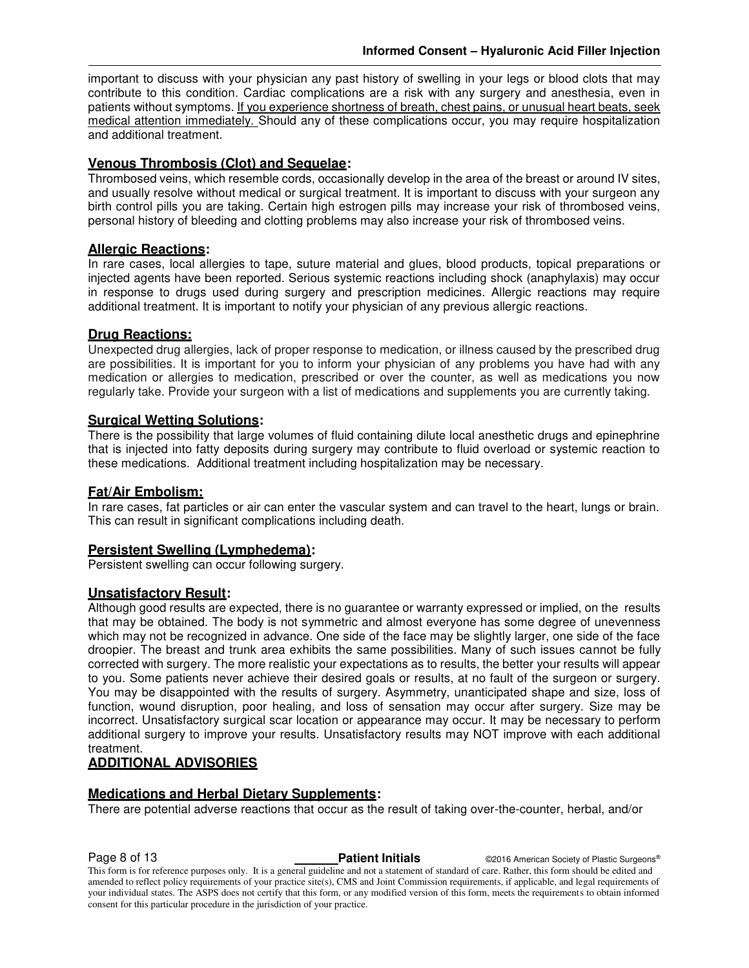important to discuss with your physician any past history of swelling in your legs or blood clots that may contribute to this condition. Cardiac complications are a risk with any surgery and anesthesia, even in patients without symptoms. If you experience shortness of breath, chest pains, or unusual heart beats, seek medical attention immediately. Should any of these complications occur, you may require hospitalization and additional treatment.

### **Venous Thrombosis (Clot) and Sequelae:**

Thrombosed veins, which resemble cords, occasionally develop in the area of the breast or around IV sites, and usually resolve without medical or surgical treatment. It is important to discuss with your surgeon any birth control pills you are taking. Certain high estrogen pills may increase your risk of thrombosed veins, personal history of bleeding and clotting problems may also increase your risk of thrombosed veins.

### **Allergic Reactions:**

In rare cases, local allergies to tape, suture material and glues, blood products, topical preparations or injected agents have been reported. Serious systemic reactions including shock (anaphylaxis) may occur in response to drugs used during surgery and prescription medicines. Allergic reactions may require additional treatment. It is important to notify your physician of any previous allergic reactions.

#### **Drug Reactions:**

Unexpected drug allergies, lack of proper response to medication, or illness caused by the prescribed drug are possibilities. It is important for you to inform your physician of any problems you have had with any medication or allergies to medication, prescribed or over the counter, as well as medications you now regularly take. Provide your surgeon with a list of medications and supplements you are currently taking.

#### **Surgical Wetting Solutions:**

There is the possibility that large volumes of fluid containing dilute local anesthetic drugs and epinephrine that is injected into fatty deposits during surgery may contribute to fluid overload or systemic reaction to these medications. Additional treatment including hospitalization may be necessary.

### **Fat/Air Embolism:**

In rare cases, fat particles or air can enter the vascular system and can travel to the heart, lungs or brain. This can result in significant complications including death.

#### **Persistent Swelling (Lymphedema):**

Persistent swelling can occur following surgery.

#### **Unsatisfactory Result:**

Although good results are expected, there is no guarantee or warranty expressed or implied, on the results that may be obtained. The body is not symmetric and almost everyone has some degree of unevenness which may not be recognized in advance. One side of the face may be slightly larger, one side of the face droopier. The breast and trunk area exhibits the same possibilities. Many of such issues cannot be fully corrected with surgery. The more realistic your expectations as to results, the better your results will appear to you. Some patients never achieve their desired goals or results, at no fault of the surgeon or surgery. You may be disappointed with the results of surgery. Asymmetry, unanticipated shape and size, loss of function, wound disruption, poor healing, and loss of sensation may occur after surgery. Size may be incorrect. Unsatisfactory surgical scar location or appearance may occur. It may be necessary to perform additional surgery to improve your results. Unsatisfactory results may NOT improve with each additional treatment.

#### **ADDITIONAL ADVISORIES**

### **Medications and Herbal Dietary Supplements:**

There are potential adverse reactions that occur as the result of taking over-the-counter, herbal, and/or

**Page 8 of 13 Patient Initials Patient Initials CALC AMERICA CONSTRANS CALC AMERICA CONSTRANS Pastic Surgeons®**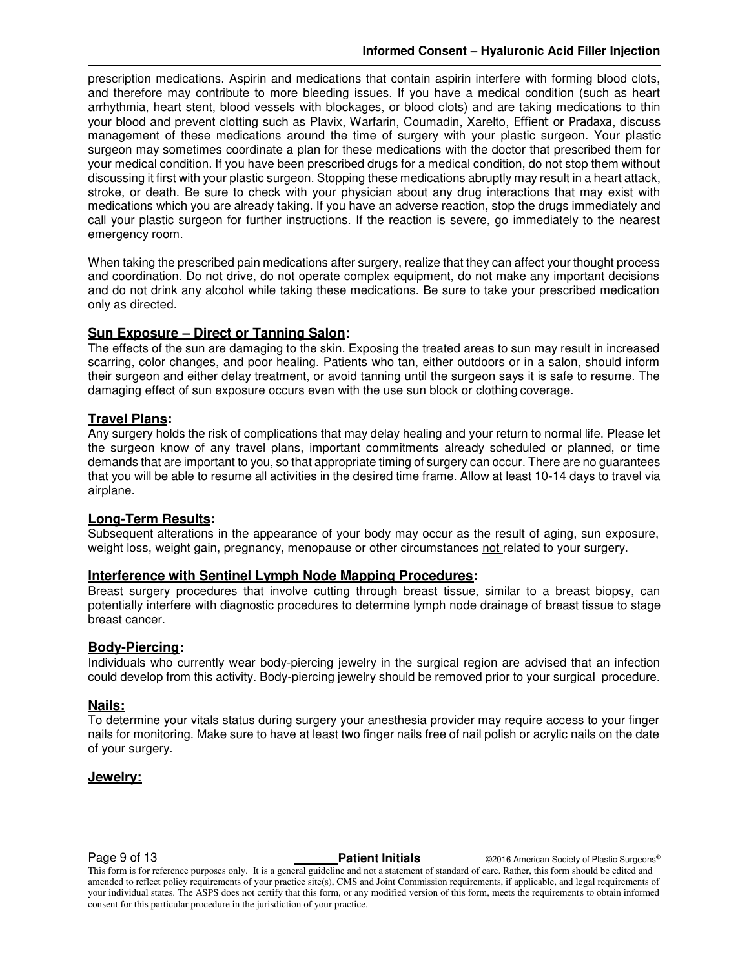prescription medications. Aspirin and medications that contain aspirin interfere with forming blood clots, and therefore may contribute to more bleeding issues. If you have a medical condition (such as heart arrhythmia, heart stent, blood vessels with blockages, or blood clots) and are taking medications to thin your blood and prevent clotting such as Plavix, Warfarin, Coumadin, Xarelto, Effient or Pradaxa, discuss management of these medications around the time of surgery with your plastic surgeon. Your plastic surgeon may sometimes coordinate a plan for these medications with the doctor that prescribed them for your medical condition. If you have been prescribed drugs for a medical condition, do not stop them without discussing it first with your plastic surgeon. Stopping these medications abruptly may result in a heart attack, stroke, or death. Be sure to check with your physician about any drug interactions that may exist with medications which you are already taking. If you have an adverse reaction, stop the drugs immediately and call your plastic surgeon for further instructions. If the reaction is severe, go immediately to the nearest emergency room.

When taking the prescribed pain medications after surgery, realize that they can affect your thought process and coordination. Do not drive, do not operate complex equipment, do not make any important decisions and do not drink any alcohol while taking these medications. Be sure to take your prescribed medication only as directed.

#### **Sun Exposure – Direct or Tanning Salon:**

The effects of the sun are damaging to the skin. Exposing the treated areas to sun may result in increased scarring, color changes, and poor healing. Patients who tan, either outdoors or in a salon, should inform their surgeon and either delay treatment, or avoid tanning until the surgeon says it is safe to resume. The damaging effect of sun exposure occurs even with the use sun block or clothing coverage.

#### **Travel Plans:**

Any surgery holds the risk of complications that may delay healing and your return to normal life. Please let the surgeon know of any travel plans, important commitments already scheduled or planned, or time demands that are important to you, so that appropriate timing of surgery can occur. There are no guarantees that you will be able to resume all activities in the desired time frame. Allow at least 10-14 days to travel via airplane.

#### **Long-Term Results:**

Subsequent alterations in the appearance of your body may occur as the result of aging, sun exposure, weight loss, weight gain, pregnancy, menopause or other circumstances not related to your surgery.

#### **Interference with Sentinel Lymph Node Mapping Procedures:**

Breast surgery procedures that involve cutting through breast tissue, similar to a breast biopsy, can potentially interfere with diagnostic procedures to determine lymph node drainage of breast tissue to stage breast cancer.

#### **Body-Piercing:**

Individuals who currently wear body-piercing jewelry in the surgical region are advised that an infection could develop from this activity. Body-piercing jewelry should be removed prior to your surgical procedure.

#### **Nails:**

To determine your vitals status during surgery your anesthesia provider may require access to your finger nails for monitoring. Make sure to have at least two finger nails free of nail polish or acrylic nails on the date of your surgery.

#### **Jewelry:**

**Page 9 of 13 Patient Initials Patient Initials CALC American Society of Plastic Surgeons®** 

This form is for reference purposes only. It is a general guideline and not a statement of standard of care. Rather, this form should be edited and amended to reflect policy requirements of your practice site(s), CMS and Joint Commission requirements, if applicable, and legal requirements of your individual states. The ASPS does not certify that this form, or any modified version of this form, meets the requirements to obtain informed consent for this particular procedure in the jurisdiction of your practice.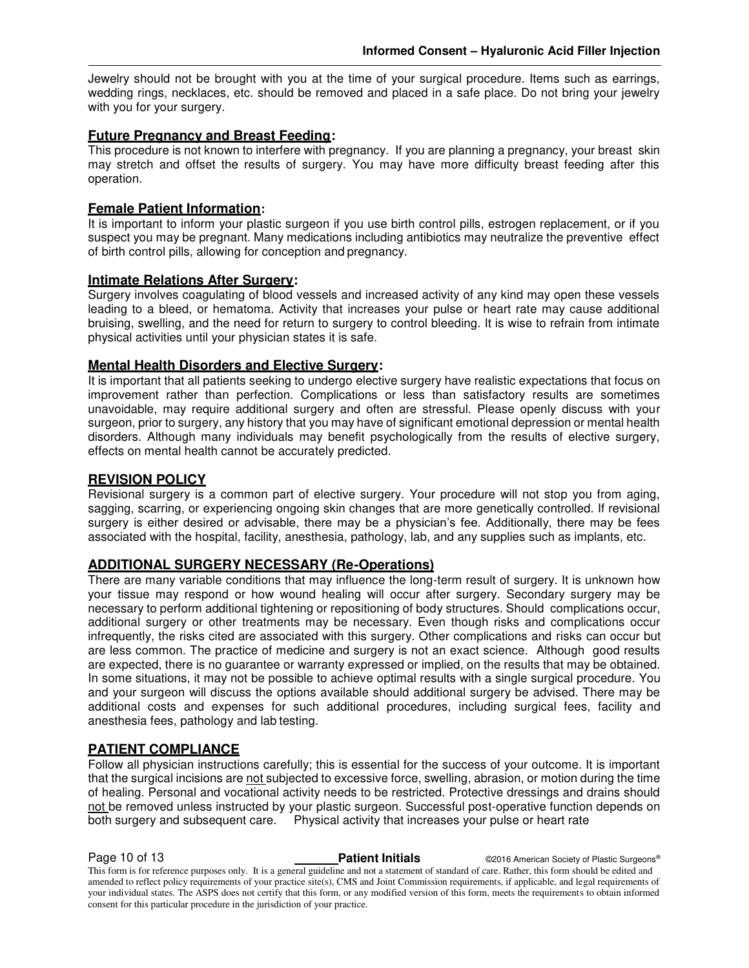Jewelry should not be brought with you at the time of your surgical procedure. Items such as earrings, wedding rings, necklaces, etc. should be removed and placed in a safe place. Do not bring your jewelry with you for your surgery.

#### **Future Pregnancy and Breast Feeding:**

This procedure is not known to interfere with pregnancy. If you are planning a pregnancy, your breast skin may stretch and offset the results of surgery. You may have more difficulty breast feeding after this operation.

#### **Female Patient Information:**

It is important to inform your plastic surgeon if you use birth control pills, estrogen replacement, or if you suspect you may be pregnant. Many medications including antibiotics may neutralize the preventive effect of birth control pills, allowing for conception and pregnancy.

#### **Intimate Relations After Surgery:**

Surgery involves coagulating of blood vessels and increased activity of any kind may open these vessels leading to a bleed, or hematoma. Activity that increases your pulse or heart rate may cause additional bruising, swelling, and the need for return to surgery to control bleeding. It is wise to refrain from intimate physical activities until your physician states it is safe.

#### **Mental Health Disorders and Elective Surgery:**

It is important that all patients seeking to undergo elective surgery have realistic expectations that focus on improvement rather than perfection. Complications or less than satisfactory results are sometimes unavoidable, may require additional surgery and often are stressful. Please openly discuss with your surgeon, prior to surgery, any history that you may have of significant emotional depression or mental health disorders. Although many individuals may benefit psychologically from the results of elective surgery, effects on mental health cannot be accurately predicted.

#### **REVISION POLICY**

Revisional surgery is a common part of elective surgery. Your procedure will not stop you from aging, sagging, scarring, or experiencing ongoing skin changes that are more genetically controlled. If revisional surgery is either desired or advisable, there may be a physician's fee. Additionally, there may be fees associated with the hospital, facility, anesthesia, pathology, lab, and any supplies such as implants, etc.

### **ADDITIONAL SURGERY NECESSARY (Re-Operations)**

There are many variable conditions that may influence the long-term result of surgery. It is unknown how your tissue may respond or how wound healing will occur after surgery. Secondary surgery may be necessary to perform additional tightening or repositioning of body structures. Should complications occur, additional surgery or other treatments may be necessary. Even though risks and complications occur infrequently, the risks cited are associated with this surgery. Other complications and risks can occur but are less common. The practice of medicine and surgery is not an exact science. Although good results are expected, there is no guarantee or warranty expressed or implied, on the results that may be obtained. In some situations, it may not be possible to achieve optimal results with a single surgical procedure. You and your surgeon will discuss the options available should additional surgery be advised. There may be additional costs and expenses for such additional procedures, including surgical fees, facility and anesthesia fees, pathology and lab testing.

#### **PATIENT COMPLIANCE**

Follow all physician instructions carefully; this is essential for the success of your outcome. It is important that the surgical incisions are not subjected to excessive force, swelling, abrasion, or motion during the time of healing. Personal and vocational activity needs to be restricted. Protective dressings and drains should not be removed unless instructed by your plastic surgeon. Successful post-operative function depends on both surgery and subsequent care. Physical activity that increases your pulse or heart rate

**Page 10 of 13 Patient Initials Patient Initials C2016 American Society of Plastic Surgeons®** 

This form is for reference purposes only. It is a general guideline and not a statement of standard of care. Rather, this form should be edited and amended to reflect policy requirements of your practice site(s), CMS and Joint Commission requirements, if applicable, and legal requirements of your individual states. The ASPS does not certify that this form, or any modified version of this form, meets the requirements to obtain informed consent for this particular procedure in the jurisdiction of your practice.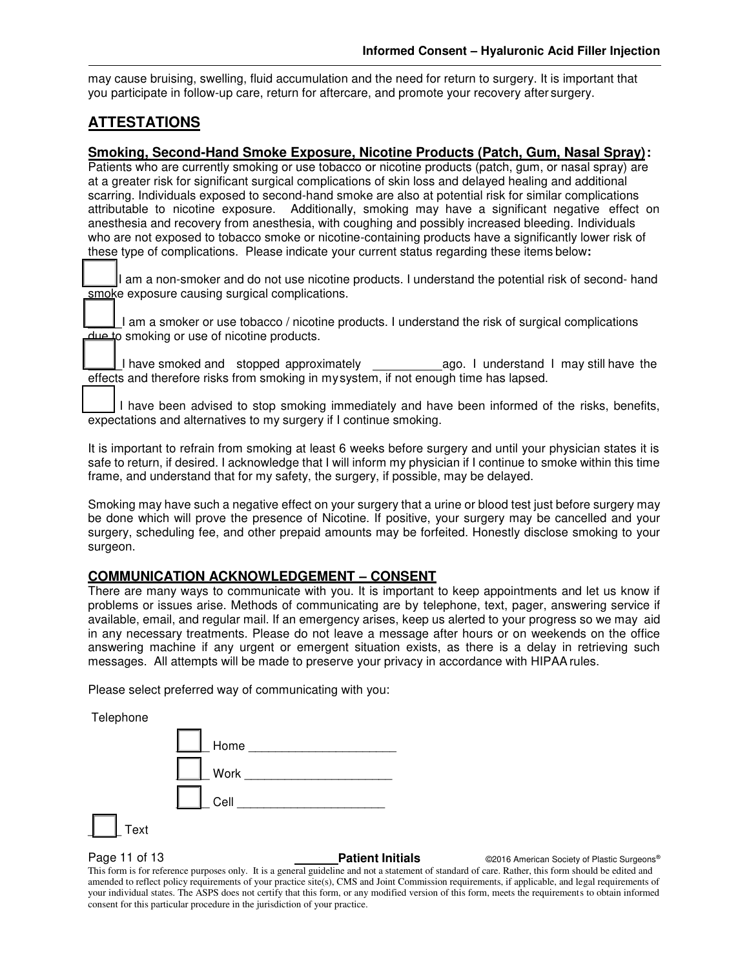may cause bruising, swelling, fluid accumulation and the need for return to surgery. It is important that you participate in follow-up care, return for aftercare, and promote your recovery after surgery.

### **ATTESTATIONS**

#### **Smoking, Second-Hand Smoke Exposure, Nicotine Products (Patch, Gum, Nasal Spray):**

Patients who are currently smoking or use tobacco or nicotine products (patch, gum, or nasal spray) are at a greater risk for significant surgical complications of skin loss and delayed healing and additional scarring. Individuals exposed to second-hand smoke are also at potential risk for similar complications attributable to nicotine exposure. Additionally, smoking may have a significant negative effect on anesthesia and recovery from anesthesia, with coughing and possibly increased bleeding. Individuals who are not exposed to tobacco smoke or nicotine-containing products have a significantly lower risk of these type of complications. Please indicate your current status regarding these items below**:** 

I am a non-smoker and do not use nicotine products. I understand the potential risk of second- hand smoke exposure causing surgical complications.

\_\_\_\_\_I am a smoker or use tobacco / nicotine products. I understand the risk of surgical complications due to smoking or use of nicotine products.

I have smoked and stopped approximately ago. I understand I may still have the \_\_\_\_\_effects and therefore risks from smoking in my system, if not enough time has lapsed.

I have been advised to stop smoking immediately and have been informed of the risks, benefits, expectations and alternatives to my surgery if I continue smoking.

It is important to refrain from smoking at least 6 weeks before surgery and until your physician states it is safe to return, if desired. I acknowledge that I will inform my physician if I continue to smoke within this time frame, and understand that for my safety, the surgery, if possible, may be delayed.

Smoking may have such a negative effect on your surgery that a urine or blood test just before surgery may be done which will prove the presence of Nicotine. If positive, your surgery may be cancelled and your surgery, scheduling fee, and other prepaid amounts may be forfeited. Honestly disclose smoking to your surgeon.

#### **COMMUNICATION ACKNOWLEDGEMENT – CONSENT**

There are many ways to communicate with you. It is important to keep appointments and let us know if problems or issues arise. Methods of communicating are by telephone, text, pager, answering service if available, email, and regular mail. If an emergency arises, keep us alerted to your progress so we may aid in any necessary treatments. Please do not leave a message after hours or on weekends on the office answering machine if any urgent or emergent situation exists, as there is a delay in retrieving such messages. All attempts will be made to preserve your privacy in accordance with HIPAA rules.

Please select preferred way of communicating with you:

**Telephone** 

| . .  | $\begin{array}{ c c c }\n\hline\n\end{array}$ Home |
|------|----------------------------------------------------|
|      | Work                                               |
|      | <b>Cell Cell</b>                                   |
| Text |                                                    |

**Page 11 of 13 Patient Initials Patient Initials C2016 American Society of Plastic Surgeons®**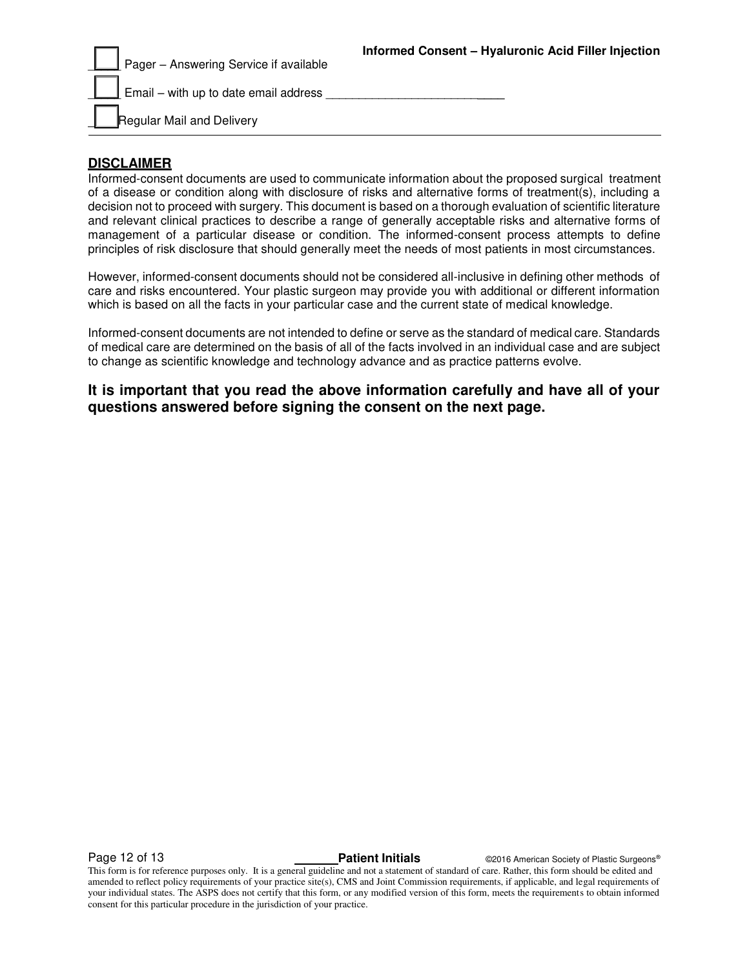| Pager - Answering Service if available       | Informed Consent - Hyaluronic Acid Filler Injection |
|----------------------------------------------|-----------------------------------------------------|
| $\Box$ Email – with up to date email address |                                                     |
| Regular Mail and Delivery                    |                                                     |

### **DISCLAIMER**

Informed-consent documents are used to communicate information about the proposed surgical treatment of a disease or condition along with disclosure of risks and alternative forms of treatment(s), including a decision not to proceed with surgery. This document is based on a thorough evaluation of scientific literature and relevant clinical practices to describe a range of generally acceptable risks and alternative forms of management of a particular disease or condition. The informed-consent process attempts to define principles of risk disclosure that should generally meet the needs of most patients in most circumstances.

However, informed-consent documents should not be considered all-inclusive in defining other methods of care and risks encountered. Your plastic surgeon may provide you with additional or different information which is based on all the facts in your particular case and the current state of medical knowledge.

Informed-consent documents are not intended to define or serve as the standard of medical care. Standards of medical care are determined on the basis of all of the facts involved in an individual case and are subject to change as scientific knowledge and technology advance and as practice patterns evolve.

**It is important that you read the above information carefully and have all of your questions answered before signing the consent on the next page.**

**Page 12 of 13 Patient Initials Patient Initials CALC CONFIDENT CONSTRUSTIES Patient Initials CONFIDENT CONFIDENT**